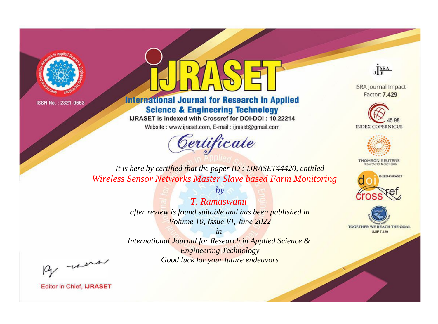



**International Journal for Research in Applied Science & Engineering Technology** 

IJRASET is indexed with Crossref for DOI-DOI: 10.22214

Website: www.ijraset.com, E-mail: ijraset@gmail.com



JERA

**ISRA Journal Impact** Factor: 7.429





**THOMSON REUTERS** 



TOGETHER WE REACH THE GOAL **SJIF 7.429** 

*It is here by certified that the paper ID : IJRASET44420, entitled Wireless Sensor Networks Master Slave based Farm Monitoring*

> *by T. Ramaswami after review is found suitable and has been published in Volume 10, Issue VI, June 2022*

> > *in*

*International Journal for Research in Applied Science & Engineering Technology Good luck for your future endeavors*

By morn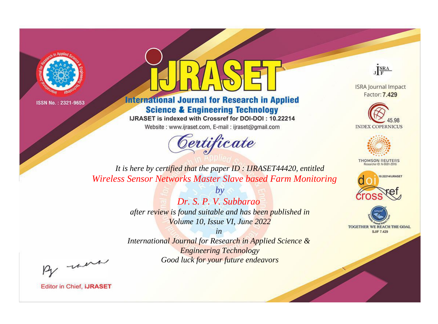



**International Journal for Research in Applied Science & Engineering Technology** 

IJRASET is indexed with Crossref for DOI-DOI: 10.22214

Website: www.ijraset.com, E-mail: ijraset@gmail.com



JERA

**ISRA Journal Impact** Factor: 7.429





**THOMSON REUTERS** 



TOGETHER WE REACH THE GOAL **SJIF 7.429** 

*It is here by certified that the paper ID : IJRASET44420, entitled Wireless Sensor Networks Master Slave based Farm Monitoring*

> *by Dr. S. P. V. Subbarao after review is found suitable and has been published in Volume 10, Issue VI, June 2022*

> > *in*

*International Journal for Research in Applied Science & Engineering Technology Good luck for your future endeavors*

By morn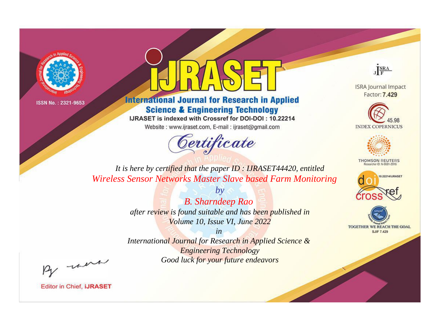



**International Journal for Research in Applied Science & Engineering Technology** 

IJRASET is indexed with Crossref for DOI-DOI: 10.22214

Website: www.ijraset.com, E-mail: ijraset@gmail.com



JERA

**ISRA Journal Impact** Factor: 7.429





**THOMSON REUTERS** 



TOGETHER WE REACH THE GOAL **SJIF 7.429** 

*It is here by certified that the paper ID : IJRASET44420, entitled Wireless Sensor Networks Master Slave based Farm Monitoring*

> *by B. Sharndeep Rao after review is found suitable and has been published in Volume 10, Issue VI, June 2022*

> > *in*

*International Journal for Research in Applied Science & Engineering Technology Good luck for your future endeavors*

By morn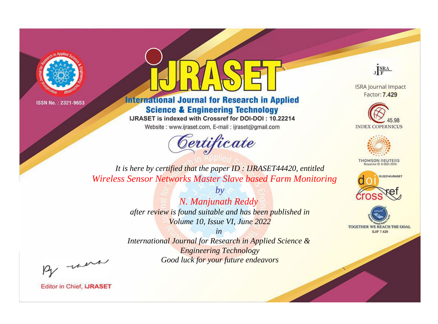



**International Journal for Research in Applied Science & Engineering Technology** 

IJRASET is indexed with Crossref for DOI-DOI: 10.22214

Website: www.ijraset.com, E-mail: ijraset@gmail.com



JERA

**ISRA Journal Impact** Factor: 7.429





**THOMSON REUTERS** 



TOGETHER WE REACH THE GOAL **SJIF 7.429** 

*It is here by certified that the paper ID : IJRASET44420, entitled Wireless Sensor Networks Master Slave based Farm Monitoring*

> *by N. Manjunath Reddy after review is found suitable and has been published in Volume 10, Issue VI, June 2022*

> > *in*

*International Journal for Research in Applied Science & Engineering Technology Good luck for your future endeavors*

By morn